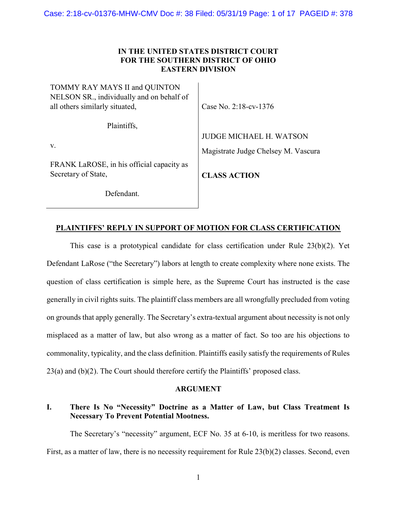# IN THE UNITED STATES DISTRICT COURT FOR THE SOUTHERN DISTRICT OF OHIO EASTERN DIVISION

| TOMMY RAY MAYS II and QUINTON<br>NELSON SR., individually and on behalf of<br>all others similarly situated, | Case No. 2:18-cv-1376               |
|--------------------------------------------------------------------------------------------------------------|-------------------------------------|
| Plaintiffs,                                                                                                  |                                     |
|                                                                                                              | <b>JUDGE MICHAEL H. WATSON</b>      |
| v.                                                                                                           | Magistrate Judge Chelsey M. Vascura |
| FRANK LaROSE, in his official capacity as<br>Secretary of State,                                             | <b>CLASS ACTION</b>                 |
| Defendant.                                                                                                   |                                     |

# PLAINTIFFS' REPLY IN SUPPORT OF MOTION FOR CLASS CERTIFICATION

 This case is a prototypical candidate for class certification under Rule 23(b)(2). Yet Defendant LaRose ("the Secretary") labors at length to create complexity where none exists. The question of class certification is simple here, as the Supreme Court has instructed is the case generally in civil rights suits. The plaintiff class members are all wrongfully precluded from voting on grounds that apply generally. The Secretary's extra-textual argument about necessity is not only misplaced as a matter of law, but also wrong as a matter of fact. So too are his objections to commonality, typicality, and the class definition. Plaintiffs easily satisfy the requirements of Rules 23(a) and (b)(2). The Court should therefore certify the Plaintiffs' proposed class.

#### ARGUMENT

# I. There Is No "Necessity" Doctrine as a Matter of Law, but Class Treatment Is Necessary To Prevent Potential Mootness.

 The Secretary's "necessity" argument, ECF No. 35 at 6-10, is meritless for two reasons. First, as a matter of law, there is no necessity requirement for Rule 23(b)(2) classes. Second, even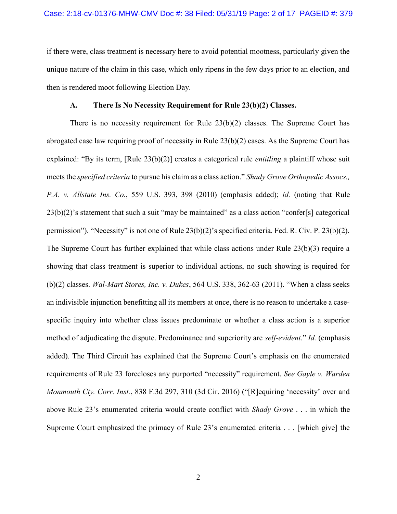if there were, class treatment is necessary here to avoid potential mootness, particularly given the unique nature of the claim in this case, which only ripens in the few days prior to an election, and then is rendered moot following Election Day.

### A. There Is No Necessity Requirement for Rule 23(b)(2) Classes.

There is no necessity requirement for Rule  $23(b)(2)$  classes. The Supreme Court has abrogated case law requiring proof of necessity in Rule 23(b)(2) cases. As the Supreme Court has explained: "By its term, [Rule 23(b)(2)] creates a categorical rule *entitling* a plaintiff whose suit meets the *specified criteria* to pursue his claim as a class action." Shady Grove Orthopedic Assocs., P.A. v. Allstate Ins. Co., 559 U.S. 393, 398 (2010) (emphasis added); id. (noting that Rule  $23(b)(2)$ 's statement that such a suit "may be maintained" as a class action "confer[s] categorical permission"). "Necessity" is not one of Rule 23(b)(2)'s specified criteria. Fed. R. Civ. P. 23(b)(2). The Supreme Court has further explained that while class actions under Rule 23(b)(3) require a showing that class treatment is superior to individual actions, no such showing is required for  $(b)(2)$  classes. *Wal-Mart Stores, Inc. v. Dukes,* 564 U.S. 338, 362-63 (2011). "When a class seeks an indivisible injunction benefitting all its members at once, there is no reason to undertake a casespecific inquiry into whether class issues predominate or whether a class action is a superior method of adjudicating the dispute. Predominance and superiority are self-evident." Id. (emphasis added). The Third Circuit has explained that the Supreme Court's emphasis on the enumerated requirements of Rule 23 forecloses any purported "necessity" requirement. See Gayle v. Warden Monmouth Cty. Corr. Inst., 838 F.3d 297, 310 (3d Cir. 2016) ("[R] equiring 'necessity' over and above Rule 23's enumerated criteria would create conflict with *Shady Grove* . . . in which the Supreme Court emphasized the primacy of Rule 23's enumerated criteria . . . [which give] the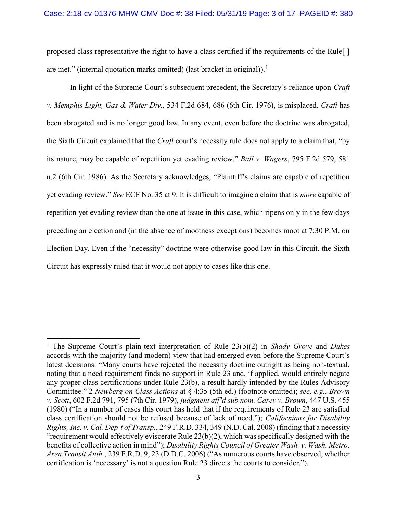proposed class representative the right to have a class certified if the requirements of the Rule[ ] are met." (internal quotation marks omitted) (last bracket in original)).<sup>1</sup>

In light of the Supreme Court's subsequent precedent, the Secretary's reliance upon *Craft* v. Memphis Light, Gas & Water Div., 534 F.2d 684, 686 (6th Cir. 1976), is misplaced. Craft has been abrogated and is no longer good law. In any event, even before the doctrine was abrogated, the Sixth Circuit explained that the Craft court's necessity rule does not apply to a claim that, "by its nature, may be capable of repetition yet evading review." Ball v. Wagers, 795 F.2d 579, 581 n.2 (6th Cir. 1986). As the Secretary acknowledges, "Plaintiff's claims are capable of repetition yet evading review." See ECF No. 35 at 9. It is difficult to imagine a claim that is more capable of repetition yet evading review than the one at issue in this case, which ripens only in the few days preceding an election and (in the absence of mootness exceptions) becomes moot at 7:30 P.M. on Election Day. Even if the "necessity" doctrine were otherwise good law in this Circuit, the Sixth Circuit has expressly ruled that it would not apply to cases like this one.

 $\overline{a}$ 

<sup>&</sup>lt;sup>1</sup> The Supreme Court's plain-text interpretation of Rule  $23(b)(2)$  in Shady Grove and Dukes accords with the majority (and modern) view that had emerged even before the Supreme Court's latest decisions. "Many courts have rejected the necessity doctrine outright as being non-textual, noting that a need requirement finds no support in Rule 23 and, if applied, would entirely negate any proper class certifications under Rule 23(b), a result hardly intended by the Rules Advisory Committee." 2 Newberg on Class Actions at § 4:35 (5th ed.) (footnote omitted); see, e.g., Brown v. Scott, 602 F.2d 791, 795 (7th Cir. 1979), judgment aff'd sub nom. Carey v. Brown, 447 U.S. 455 (1980) ("In a number of cases this court has held that if the requirements of Rule 23 are satisfied class certification should not be refused because of lack of need."); Californians for Disability Rights, Inc. v. Cal. Dep't of Transp., 249 F.R.D. 334, 349 (N.D. Cal. 2008) (finding that a necessity "requirement would effectively eviscerate Rule 23(b)(2), which was specifically designed with the benefits of collective action in mind"); Disability Rights Council of Greater Wash. v. Wash. Metro. Area Transit Auth., 239 F.R.D. 9, 23 (D.D.C. 2006) ("As numerous courts have observed, whether certification is 'necessary' is not a question Rule 23 directs the courts to consider.").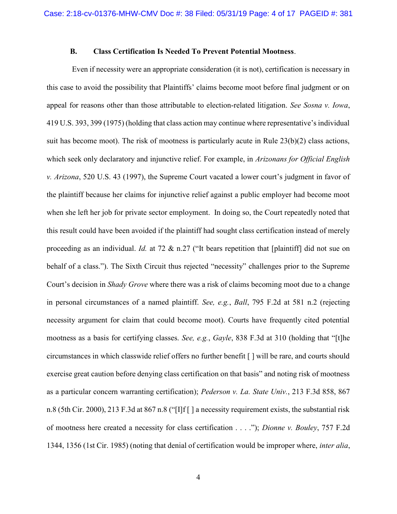### B. Class Certification Is Needed To Prevent Potential Mootness.

 Even if necessity were an appropriate consideration (it is not), certification is necessary in this case to avoid the possibility that Plaintiffs' claims become moot before final judgment or on appeal for reasons other than those attributable to election-related litigation. See Sosna v. Iowa, 419 U.S. 393, 399 (1975) (holding that class action may continue where representative's individual suit has become moot). The risk of mootness is particularly acute in Rule 23(b)(2) class actions, which seek only declaratory and injunctive relief. For example, in Arizonans for Official English v. Arizona, 520 U.S. 43 (1997), the Supreme Court vacated a lower court's judgment in favor of the plaintiff because her claims for injunctive relief against a public employer had become moot when she left her job for private sector employment. In doing so, the Court repeatedly noted that this result could have been avoided if the plaintiff had sought class certification instead of merely proceeding as an individual. Id. at 72  $\&$  n.27 ("It bears repetition that [plaintiff] did not sue on behalf of a class."). The Sixth Circuit thus rejected "necessity" challenges prior to the Supreme Court's decision in *Shady Grove* where there was a risk of claims becoming moot due to a change in personal circumstances of a named plaintiff. See, e.g., Ball, 795 F.2d at 581 n.2 (rejecting necessity argument for claim that could become moot). Courts have frequently cited potential mootness as a basis for certifying classes. See, e.g., Gayle, 838 F.3d at 310 (holding that "[t]he circumstances in which classwide relief offers no further benefit [ ] will be rare, and courts should exercise great caution before denying class certification on that basis" and noting risk of mootness as a particular concern warranting certification); Pederson v. La. State Univ., 213 F.3d 858, 867 n.8 (5th Cir. 2000), 213 F.3d at 867 n.8 ("[I]f [ ] a necessity requirement exists, the substantial risk of mootness here created a necessity for class certification . . . ."); Dionne v. Bouley, 757 F.2d 1344, 1356 (1st Cir. 1985) (noting that denial of certification would be improper where, inter alia,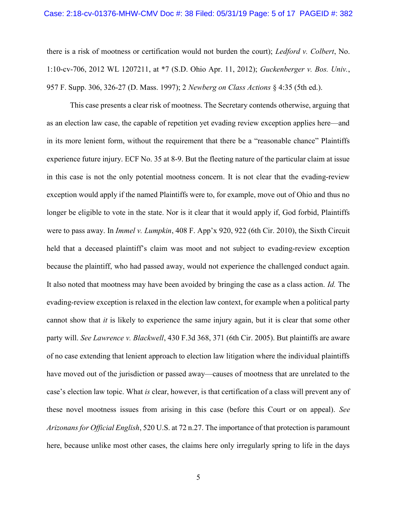there is a risk of mootness or certification would not burden the court); Ledford v. Colbert, No. 1:10-cv-706, 2012 WL 1207211, at \*7 (S.D. Ohio Apr. 11, 2012); Guckenberger v. Bos. Univ., 957 F. Supp. 306, 326-27 (D. Mass. 1997); 2 Newberg on Class Actions § 4:35 (5th ed.).

 This case presents a clear risk of mootness. The Secretary contends otherwise, arguing that as an election law case, the capable of repetition yet evading review exception applies here—and in its more lenient form, without the requirement that there be a "reasonable chance" Plaintiffs experience future injury. ECF No. 35 at 8-9. But the fleeting nature of the particular claim at issue in this case is not the only potential mootness concern. It is not clear that the evading-review exception would apply if the named Plaintiffs were to, for example, move out of Ohio and thus no longer be eligible to vote in the state. Nor is it clear that it would apply if, God forbid, Plaintiffs were to pass away. In Immel v. Lumpkin, 408 F. App'x 920, 922 (6th Cir. 2010), the Sixth Circuit held that a deceased plaintiff's claim was moot and not subject to evading-review exception because the plaintiff, who had passed away, would not experience the challenged conduct again. It also noted that mootness may have been avoided by bringing the case as a class action. Id. The evading-review exception is relaxed in the election law context, for example when a political party cannot show that it is likely to experience the same injury again, but it is clear that some other party will. See Lawrence v. Blackwell, 430 F.3d 368, 371 (6th Cir. 2005). But plaintiffs are aware of no case extending that lenient approach to election law litigation where the individual plaintiffs have moved out of the jurisdiction or passed away—causes of mootness that are unrelated to the case's election law topic. What is clear, however, is that certification of a class will prevent any of these novel mootness issues from arising in this case (before this Court or on appeal). See Arizonans for Official English, 520 U.S. at 72 n.27. The importance of that protection is paramount here, because unlike most other cases, the claims here only irregularly spring to life in the days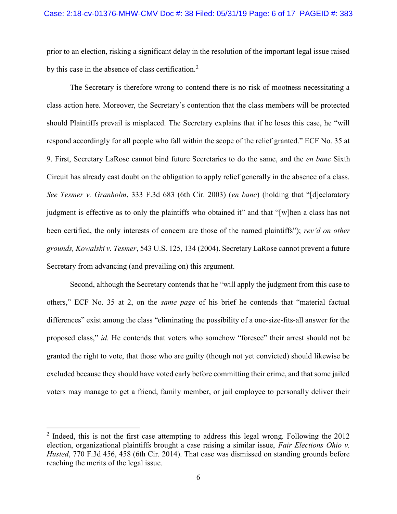prior to an election, risking a significant delay in the resolution of the important legal issue raised by this case in the absence of class certification.<sup>2</sup>

 The Secretary is therefore wrong to contend there is no risk of mootness necessitating a class action here. Moreover, the Secretary's contention that the class members will be protected should Plaintiffs prevail is misplaced. The Secretary explains that if he loses this case, he "will respond accordingly for all people who fall within the scope of the relief granted." ECF No. 35 at 9. First, Secretary LaRose cannot bind future Secretaries to do the same, and the en banc Sixth Circuit has already cast doubt on the obligation to apply relief generally in the absence of a class. See Tesmer v. Granholm, 333 F.3d 683 (6th Cir. 2003) (en banc) (holding that "[d]eclaratory judgment is effective as to only the plaintiffs who obtained it" and that "[w]hen a class has not been certified, the only interests of concern are those of the named plaintiffs"); rev'd on other grounds, Kowalski v. Tesmer, 543 U.S. 125, 134 (2004). Secretary LaRose cannot prevent a future Secretary from advancing (and prevailing on) this argument.

Second, although the Secretary contends that he "will apply the judgment from this case to others," ECF No. 35 at 2, on the same page of his brief he contends that "material factual differences" exist among the class "eliminating the possibility of a one-size-fits-all answer for the proposed class," id. He contends that voters who somehow "foresee" their arrest should not be granted the right to vote, that those who are guilty (though not yet convicted) should likewise be excluded because they should have voted early before committing their crime, and that some jailed voters may manage to get a friend, family member, or jail employee to personally deliver their

 $\overline{a}$ 

 $2$  Indeed, this is not the first case attempting to address this legal wrong. Following the 2012 election, organizational plaintiffs brought a case raising a similar issue, Fair Elections Ohio v. Husted, 770 F.3d 456, 458 (6th Cir. 2014). That case was dismissed on standing grounds before reaching the merits of the legal issue.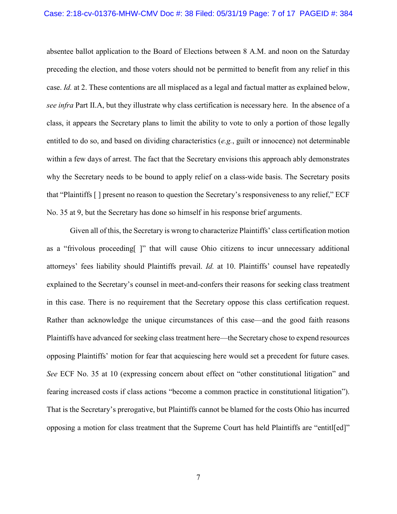#### Case: 2:18-cv-01376-MHW-CMV Doc #: 38 Filed: 05/31/19 Page: 7 of 17 PAGEID #: 384

absentee ballot application to the Board of Elections between 8 A.M. and noon on the Saturday preceding the election, and those voters should not be permitted to benefit from any relief in this case. Id. at 2. These contentions are all misplaced as a legal and factual matter as explained below, see infra Part II.A, but they illustrate why class certification is necessary here. In the absence of a class, it appears the Secretary plans to limit the ability to vote to only a portion of those legally entitled to do so, and based on dividing characteristics  $(e.g.,$  guilt or innocence) not determinable within a few days of arrest. The fact that the Secretary envisions this approach ably demonstrates why the Secretary needs to be bound to apply relief on a class-wide basis. The Secretary posits that "Plaintiffs [ ] present no reason to question the Secretary's responsiveness to any relief," ECF No. 35 at 9, but the Secretary has done so himself in his response brief arguments.

Given all of this, the Secretary is wrong to characterize Plaintiffs' class certification motion as a "frivolous proceeding[ ]" that will cause Ohio citizens to incur unnecessary additional attorneys' fees liability should Plaintiffs prevail. Id. at 10. Plaintiffs' counsel have repeatedly explained to the Secretary's counsel in meet-and-confers their reasons for seeking class treatment in this case. There is no requirement that the Secretary oppose this class certification request. Rather than acknowledge the unique circumstances of this case—and the good faith reasons Plaintiffs have advanced for seeking class treatment here—the Secretary chose to expend resources opposing Plaintiffs' motion for fear that acquiescing here would set a precedent for future cases. See ECF No. 35 at 10 (expressing concern about effect on "other constitutional litigation" and fearing increased costs if class actions "become a common practice in constitutional litigation"). That is the Secretary's prerogative, but Plaintiffs cannot be blamed for the costs Ohio has incurred opposing a motion for class treatment that the Supreme Court has held Plaintiffs are "entitl[ed]"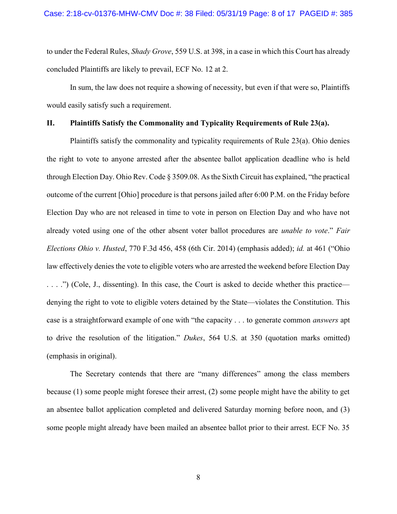to under the Federal Rules, *Shady Grove*, 559 U.S. at 398, in a case in which this Court has already concluded Plaintiffs are likely to prevail, ECF No. 12 at 2.

In sum, the law does not require a showing of necessity, but even if that were so, Plaintiffs would easily satisfy such a requirement.

### II. Plaintiffs Satisfy the Commonality and Typicality Requirements of Rule 23(a).

 Plaintiffs satisfy the commonality and typicality requirements of Rule 23(a). Ohio denies the right to vote to anyone arrested after the absentee ballot application deadline who is held through Election Day. Ohio Rev. Code § 3509.08. As the Sixth Circuit has explained, "the practical outcome of the current [Ohio] procedure is that persons jailed after 6:00 P.M. on the Friday before Election Day who are not released in time to vote in person on Election Day and who have not already voted using one of the other absent voter ballot procedures are *unable to vote.*" Fair Elections Ohio v. Husted, 770 F.3d 456, 458 (6th Cir. 2014) (emphasis added); id. at 461 ("Ohio law effectively denies the vote to eligible voters who are arrested the weekend before Election Day . . . .") (Cole, J., dissenting). In this case, the Court is asked to decide whether this practice denying the right to vote to eligible voters detained by the State—violates the Constitution. This case is a straightforward example of one with "the capacity . . . to generate common answers apt to drive the resolution of the litigation." Dukes, 564 U.S. at 350 (quotation marks omitted) (emphasis in original).

 The Secretary contends that there are "many differences" among the class members because (1) some people might foresee their arrest, (2) some people might have the ability to get an absentee ballot application completed and delivered Saturday morning before noon, and (3) some people might already have been mailed an absentee ballot prior to their arrest. ECF No. 35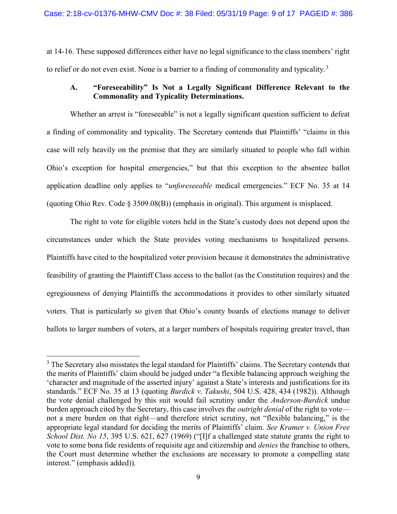at 14-16. These supposed differences either have no legal significance to the class members' right to relief or do not even exist. None is a barrier to a finding of commonality and typicality.<sup>3</sup>

# A. "Foreseeability" Is Not a Legally Significant Difference Relevant to the Commonality and Typicality Determinations.

Whether an arrest is "foreseeable" is not a legally significant question sufficient to defeat a finding of commonality and typicality. The Secretary contends that Plaintiffs' "claims in this case will rely heavily on the premise that they are similarly situated to people who fall within Ohio's exception for hospital emergencies," but that this exception to the absentee ballot application deadline only applies to "unforeseeable medical emergencies." ECF No. 35 at 14 (quoting Ohio Rev. Code § 3509.08(B)) (emphasis in original). This argument is misplaced.

The right to vote for eligible voters held in the State's custody does not depend upon the circumstances under which the State provides voting mechanisms to hospitalized persons. Plaintiffs have cited to the hospitalized voter provision because it demonstrates the administrative feasibility of granting the Plaintiff Class access to the ballot (as the Constitution requires) and the egregiousness of denying Plaintiffs the accommodations it provides to other similarly situated voters. That is particularly so given that Ohio's county boards of elections manage to deliver ballots to larger numbers of voters, at a larger numbers of hospitals requiring greater travel, than

<sup>&</sup>lt;sup>3</sup> The Secretary also misstates the legal standard for Plaintiffs' claims. The Secretary contends that the merits of Plaintiffs' claim should be judged under "a flexible balancing approach weighing the 'character and magnitude of the asserted injury' against a State's interests and justifications for its standards." ECF No. 35 at 13 (quoting *Burdick v. Takushi*, 504 U.S. 428, 434 (1982)). Although the vote denial challenged by this suit would fail scrutiny under the *Anderson-Burdick* undue burden approach cited by the Secretary, this case involves the *outright denial* of the right to vote not a mere burden on that right—and therefore strict scrutiny, not "flexible balancing," is the appropriate legal standard for deciding the merits of Plaintiffs' claim. See Kramer v. Union Free School Dist. No 15, 395 U.S. 621, 627 (1969) ("Ilf a challenged state statute grants the right to vote to some bona fide residents of requisite age and citizenship and denies the franchise to others, the Court must determine whether the exclusions are necessary to promote a compelling state interest." (emphasis added)).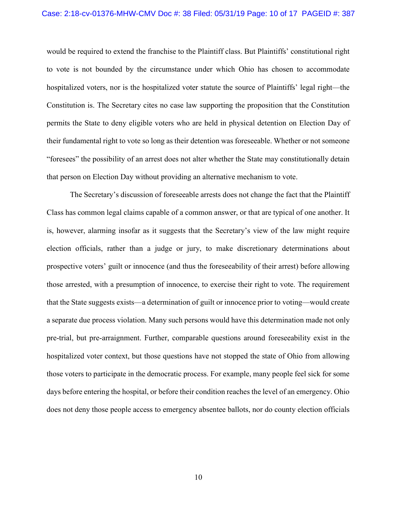#### Case: 2:18-cv-01376-MHW-CMV Doc #: 38 Filed: 05/31/19 Page: 10 of 17 PAGEID #: 387

would be required to extend the franchise to the Plaintiff class. But Plaintiffs' constitutional right to vote is not bounded by the circumstance under which Ohio has chosen to accommodate hospitalized voters, nor is the hospitalized voter statute the source of Plaintiffs' legal right—the Constitution is. The Secretary cites no case law supporting the proposition that the Constitution permits the State to deny eligible voters who are held in physical detention on Election Day of their fundamental right to vote so long as their detention was foreseeable. Whether or not someone "foresees" the possibility of an arrest does not alter whether the State may constitutionally detain that person on Election Day without providing an alternative mechanism to vote.

 The Secretary's discussion of foreseeable arrests does not change the fact that the Plaintiff Class has common legal claims capable of a common answer, or that are typical of one another. It is, however, alarming insofar as it suggests that the Secretary's view of the law might require election officials, rather than a judge or jury, to make discretionary determinations about prospective voters' guilt or innocence (and thus the foreseeability of their arrest) before allowing those arrested, with a presumption of innocence, to exercise their right to vote. The requirement that the State suggests exists—a determination of guilt or innocence prior to voting—would create a separate due process violation. Many such persons would have this determination made not only pre-trial, but pre-arraignment. Further, comparable questions around foreseeability exist in the hospitalized voter context, but those questions have not stopped the state of Ohio from allowing those voters to participate in the democratic process. For example, many people feel sick for some days before entering the hospital, or before their condition reaches the level of an emergency. Ohio does not deny those people access to emergency absentee ballots, nor do county election officials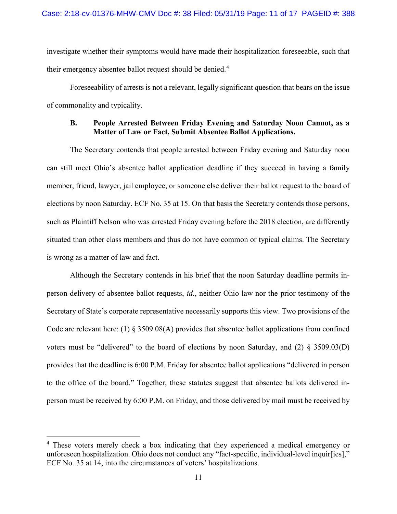investigate whether their symptoms would have made their hospitalization foreseeable, such that their emergency absentee ballot request should be denied.<sup>4</sup>

 Foreseeability of arrests is not a relevant, legally significant question that bears on the issue of commonality and typicality.

### B. People Arrested Between Friday Evening and Saturday Noon Cannot, as a Matter of Law or Fact, Submit Absentee Ballot Applications.

 The Secretary contends that people arrested between Friday evening and Saturday noon can still meet Ohio's absentee ballot application deadline if they succeed in having a family member, friend, lawyer, jail employee, or someone else deliver their ballot request to the board of elections by noon Saturday. ECF No. 35 at 15. On that basis the Secretary contends those persons, such as Plaintiff Nelson who was arrested Friday evening before the 2018 election, are differently situated than other class members and thus do not have common or typical claims. The Secretary is wrong as a matter of law and fact.

 Although the Secretary contends in his brief that the noon Saturday deadline permits inperson delivery of absentee ballot requests, id., neither Ohio law nor the prior testimony of the Secretary of State's corporate representative necessarily supports this view. Two provisions of the Code are relevant here: (1) § 3509.08(A) provides that absentee ballot applications from confined voters must be "delivered" to the board of elections by noon Saturday, and (2) § 3509.03(D) provides that the deadline is 6:00 P.M. Friday for absentee ballot applications "delivered in person to the office of the board." Together, these statutes suggest that absentee ballots delivered inperson must be received by 6:00 P.M. on Friday, and those delivered by mail must be received by

 $\overline{a}$ 

<sup>&</sup>lt;sup>4</sup> These voters merely check a box indicating that they experienced a medical emergency or unforeseen hospitalization. Ohio does not conduct any "fact-specific, individual-level inquir[ies]," ECF No. 35 at 14, into the circumstances of voters' hospitalizations.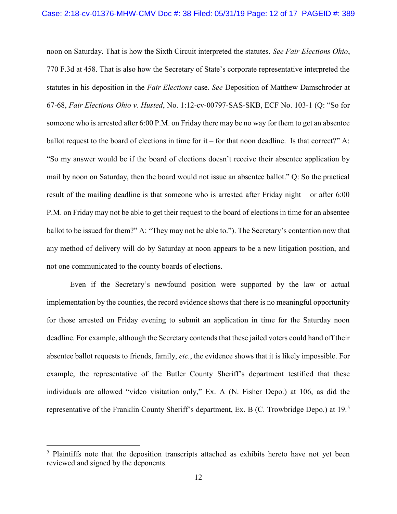noon on Saturday. That is how the Sixth Circuit interpreted the statutes. See Fair Elections Ohio, 770 F.3d at 458. That is also how the Secretary of State's corporate representative interpreted the statutes in his deposition in the Fair Elections case. See Deposition of Matthew Damschroder at 67-68, Fair Elections Ohio v. Husted, No. 1:12-cv-00797-SAS-SKB, ECF No. 103-1 (Q: "So for someone who is arrested after 6:00 P.M. on Friday there may be no way for them to get an absentee ballot request to the board of elections in time for it – for that noon deadline. Is that correct?" A: "So my answer would be if the board of elections doesn't receive their absentee application by mail by noon on Saturday, then the board would not issue an absentee ballot." Q: So the practical result of the mailing deadline is that someone who is arrested after Friday night – or after 6:00 P.M. on Friday may not be able to get their request to the board of elections in time for an absentee ballot to be issued for them?" A: "They may not be able to."). The Secretary's contention now that any method of delivery will do by Saturday at noon appears to be a new litigation position, and not one communicated to the county boards of elections.

 Even if the Secretary's newfound position were supported by the law or actual implementation by the counties, the record evidence shows that there is no meaningful opportunity for those arrested on Friday evening to submit an application in time for the Saturday noon deadline. For example, although the Secretary contends that these jailed voters could hand off their absentee ballot requests to friends, family, etc., the evidence shows that it is likely impossible. For example, the representative of the Butler County Sheriff's department testified that these individuals are allowed "video visitation only," Ex. A (N. Fisher Depo.) at 106, as did the representative of the Franklin County Sheriff's department, Ex. B (C. Trowbridge Depo.) at  $19<sup>5</sup>$ 

<sup>&</sup>lt;sup>5</sup> Plaintiffs note that the deposition transcripts attached as exhibits hereto have not yet been reviewed and signed by the deponents.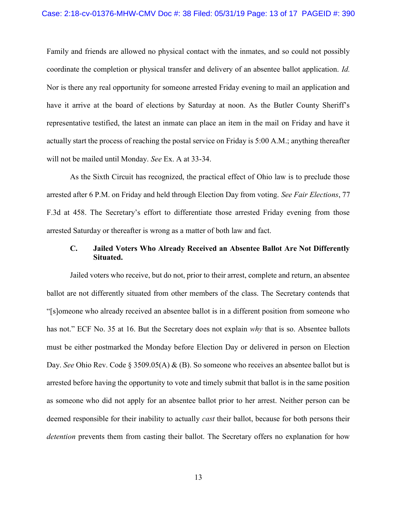#### Case: 2:18-cv-01376-MHW-CMV Doc #: 38 Filed: 05/31/19 Page: 13 of 17 PAGEID #: 390

Family and friends are allowed no physical contact with the inmates, and so could not possibly coordinate the completion or physical transfer and delivery of an absentee ballot application. Id. Nor is there any real opportunity for someone arrested Friday evening to mail an application and have it arrive at the board of elections by Saturday at noon. As the Butler County Sheriff's representative testified, the latest an inmate can place an item in the mail on Friday and have it actually start the process of reaching the postal service on Friday is 5:00 A.M.; anything thereafter will not be mailed until Monday. See Ex. A at 33-34.

 As the Sixth Circuit has recognized, the practical effect of Ohio law is to preclude those arrested after 6 P.M. on Friday and held through Election Day from voting. See Fair Elections, 77 F.3d at 458. The Secretary's effort to differentiate those arrested Friday evening from those arrested Saturday or thereafter is wrong as a matter of both law and fact.

# C. Jailed Voters Who Already Received an Absentee Ballot Are Not Differently Situated.

 Jailed voters who receive, but do not, prior to their arrest, complete and return, an absentee ballot are not differently situated from other members of the class. The Secretary contends that "[s]omeone who already received an absentee ballot is in a different position from someone who has not." ECF No. 35 at 16. But the Secretary does not explain why that is so. Absentee ballots must be either postmarked the Monday before Election Day or delivered in person on Election Day. See Ohio Rev. Code § 3509.05(A) & (B). So someone who receives an absentee ballot but is arrested before having the opportunity to vote and timely submit that ballot is in the same position as someone who did not apply for an absentee ballot prior to her arrest. Neither person can be deemed responsible for their inability to actually *cast* their ballot, because for both persons their detention prevents them from casting their ballot. The Secretary offers no explanation for how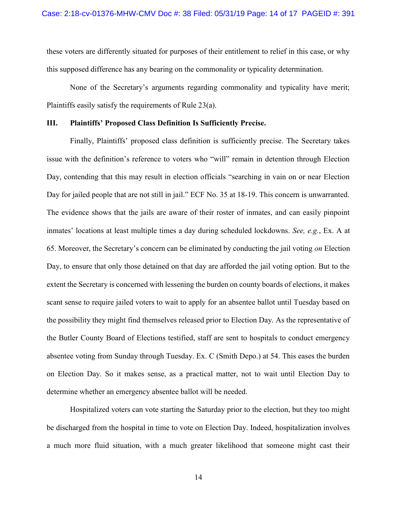these voters are differently situated for purposes of their entitlement to relief in this case, or why this supposed difference has any bearing on the commonality or typicality determination.

 None of the Secretary's arguments regarding commonality and typicality have merit; Plaintiffs easily satisfy the requirements of Rule 23(a).

### III. Plaintiffs' Proposed Class Definition Is Sufficiently Precise.

 Finally, Plaintiffs' proposed class definition is sufficiently precise. The Secretary takes issue with the definition's reference to voters who "will" remain in detention through Election Day, contending that this may result in election officials "searching in vain on or near Election Day for jailed people that are not still in jail." ECF No. 35 at 18-19. This concern is unwarranted. The evidence shows that the jails are aware of their roster of inmates, and can easily pinpoint inmates' locations at least multiple times a day during scheduled lockdowns. See, e.g., Ex. A at 65. Moreover, the Secretary's concern can be eliminated by conducting the jail voting on Election Day, to ensure that only those detained on that day are afforded the jail voting option. But to the extent the Secretary is concerned with lessening the burden on county boards of elections, it makes scant sense to require jailed voters to wait to apply for an absentee ballot until Tuesday based on the possibility they might find themselves released prior to Election Day. As the representative of the Butler County Board of Elections testified, staff are sent to hospitals to conduct emergency absentee voting from Sunday through Tuesday. Ex. C (Smith Depo.) at 54. This eases the burden on Election Day. So it makes sense, as a practical matter, not to wait until Election Day to determine whether an emergency absentee ballot will be needed.

 Hospitalized voters can vote starting the Saturday prior to the election, but they too might be discharged from the hospital in time to vote on Election Day. Indeed, hospitalization involves a much more fluid situation, with a much greater likelihood that someone might cast their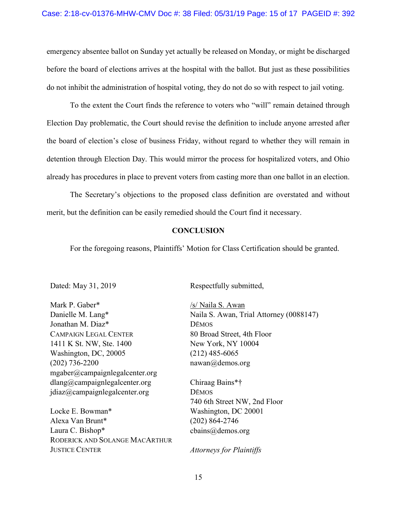emergency absentee ballot on Sunday yet actually be released on Monday, or might be discharged before the board of elections arrives at the hospital with the ballot. But just as these possibilities do not inhibit the administration of hospital voting, they do not do so with respect to jail voting.

 To the extent the Court finds the reference to voters who "will" remain detained through Election Day problematic, the Court should revise the definition to include anyone arrested after the board of election's close of business Friday, without regard to whether they will remain in detention through Election Day. This would mirror the process for hospitalized voters, and Ohio already has procedures in place to prevent voters from casting more than one ballot in an election.

 The Secretary's objections to the proposed class definition are overstated and without merit, but the definition can be easily remedied should the Court find it necessary.

### **CONCLUSION**

For the foregoing reasons, Plaintiffs' Motion for Class Certification should be granted.

Dated: May 31, 2019

Mark P. Gaber\* Danielle M. Lang\* Jonathan M. Diaz\* CAMPAIGN LEGAL CENTER 1411 K St. NW, Ste. 1400 Washington, DC, 20005 (202) 736-2200 mgaber@campaignlegalcenter.org dlang@campaignlegalcenter.org jdiaz@campaignlegalcenter.org

Locke E. Bowman\* Alexa Van Brunt\* Laura C. Bishop\* RODERICK AND SOLANGE MACARTHUR JUSTICE CENTER

Respectfully submitted,

/s/ Naila S. Awan Naila S. Awan, Trial Attorney (0088147) DĒMOS 80 Broad Street, 4th Floor New York, NY 10004 (212) 485-6065 nawan@demos.org

Chiraag Bains\*† DĒMOS 740 6th Street NW, 2nd Floor Washington, DC 20001 (202) 864-2746 cbains@demos.org

Attorneys for Plaintiffs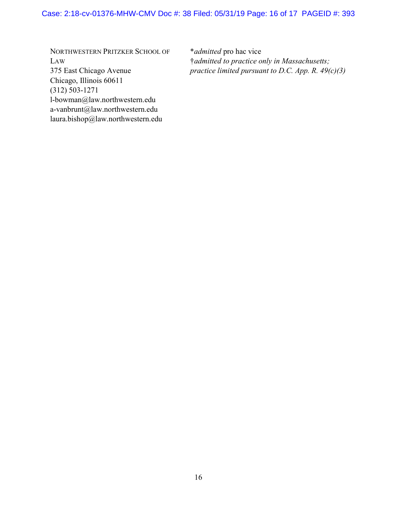# Case: 2:18-cv-01376-MHW-CMV Doc #: 38 Filed: 05/31/19 Page: 16 of 17 PAGEID #: 393

NORTHWESTERN PRITZKER SCHOOL OF LAW 375 East Chicago Avenue Chicago, Illinois 60611 (312) 503-1271 l-bowman@law.northwestern.edu a-vanbrunt@law.northwestern.edu laura.bishop@law.northwestern.edu

\*admitted pro hac vice †admitted to practice only in Massachusetts; practice limited pursuant to D.C. App. R.  $49(c)(3)$